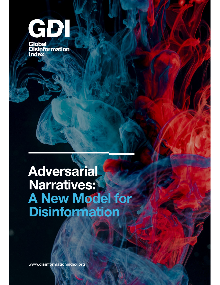

# Adversarial Narratives: A New Model for **Disinformation**

www.disinformationindex.org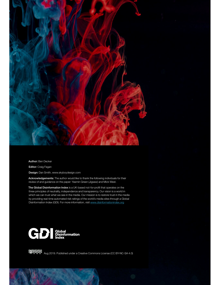

Author: Ben Decker

Editor: Craig Fagan

Design: Dan Smith, www.skyboydesign.com

Acknowledgements: The author would like to thank the following individuals for their review of and guidance on the paper: Yasmin Green (Jigsaw) and Mick West.

The Global Disinformation Index is a UK-based not-for-profit that operates on the three principles of neutrality, independence and transparency. Our vision is a world in which we can trust what we see in the media. Our mission is to restore trust in the media by providing real-time automated risk ratings of the world's media sites through a Global Disinformation Index (GDI). For more information, visit www.disinformationindex.org



**@000** Aug 2019. Published under a Creative Commons License (CC BY-NC-SA 4.0)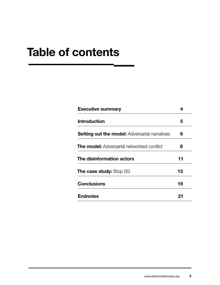# Table of contents

| <b>Executive summary</b>                             |    |
|------------------------------------------------------|----|
| <b>Introduction</b>                                  | 5  |
| <b>Setting out the model:</b> Adversarial narratives | 6  |
| <b>The model:</b> Adversarial networked conflict     | 8  |
| The disinformation actors                            | 11 |
| <b>The case study:</b> Stop 5G                       | 13 |
| <b>Conclusions</b>                                   | 19 |
| <b>Endnotes</b>                                      | 21 |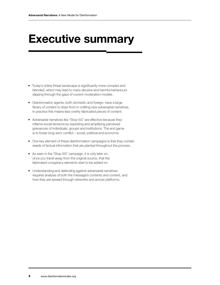# Executive summary

- Today's online threat landscape is significantly more complex and blended, which may lead to many abusive and harmful behaviours slipping through the gaps of current moderation models.
- Disinformation agents, both domestic and foreign, have a large library of content to draw from in crafting new adversarial narratives. In practice this means less overtly fabricated pieces of content.
- Adversarial narratives like "Stop 5G" are effective because they infame social tensions by exploiting and amplifying perceived grievances of individuals, groups and institutions. The end game is to foster long-term confict – social, political and economic.
- One key element of these disinformation campaigns is that they contain seeds of factual information that are planted throughout the process.
- As seen in the "Stop 5G" campaign, it is only later on, once you travel away from the original source, that the fabricated conspiracy elements start to be added on.
- Understanding and defending against adversarial narratives requires analysis of both the message's contents and context, and how they are spread through networks and across platforms.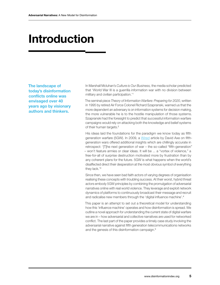# Introduction

The landscape of today's disinformation conficts online was envisaged over 40 years ago by visionary authors and thinkers.

In Marshall Mcluhan's *Culture is Our Business,* the media scholar predicted that 'World War III is a guerrilla information war with no division between military and civilian participation.'1

The seminal piece *Theory of Information Warfare: Preparing for 2020*, written in 1995 by retired Air Force Colonel Richard Szapranski, warned us that the more dependent an adversary is on information systems for decision making, the more vulnerable he is to the hostile manipulation of those systems. Szapranski had the foresight to predict that successful information warfare campaigns would rely on attacking both the knowledge and belief systems of their human targets.2

His ideas laid the foundations for the paradigm we know today as fifth generation warfare (5GW). In 2009, a Wired article by David Axe on ffthgeneration wars offered additional insights which are chillingly accurate in retrospect: '[T]he next generation of war – the so-called "ffth-generation" – won't feature armies or clear ideas. It will be ... a "vortex of violence," a free-for-all of surprise destruction motivated more by frustration than by any coherent plans for the future. 5GW is what happens when the world's disaffected direct their desperation at the most obvious symbol of everything they lack.'3

Since then, we have seen bad faith actors of varying degrees of organisation realising these concepts with troubling success. At their worst, hybrid threat actors embody 5GW principles by combining the promulgation of adversarial narratives online with real world violence. They leverage and exploit network dynamics of platforms to continuously broadcast their message and recruit and radicalise new members through the 'digital infuence machine'.4

This paper is an attempt to set out a theoretical model for understanding how this 'infuence machine' operates and how disinformation is spread. We outline a novel approach for understanding the current state of digital warfare we are in – how adversarial and collective narratives are used for networked confict. The last part of the paper provides a timely case study involving the adversarial narrative against ffth generation telecommunications networks and the genesis of this disinformation campaign.<sup>5</sup>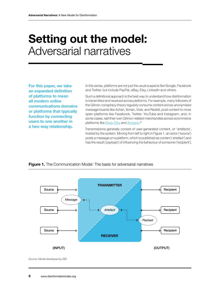# Setting out the model: Adversarial narratives

For this paper, we take an expanded definition of platforms to mean all modern online communications domains or platforms that typically function by connecting users to one another in a two-way relationship.

In this sense, platforms are not just the usual suspects like Google, Facebook and Twitter, but include PayPal, eBay, Etsy, LinkedIn and others.

Such a defnitional approach is the best way to understand how disinformation is transmitted and received across platforms. For example, many followers of the QAnon conspiracy theory regularly consume content across anonymised message boards like 4chan, 8chan, Voat, and Reddit, post content to more open platforms like Facebook, Twitter, YouTube and Instagram, and, in some cases, sell their own QAnon-related merchandise across ecommerce platforms like **Ebay, Etsy and Amazon.**<sup>6</sup>

Transmissions generally consist of user-generated content, or 'artefacts', hosted by the system. Moving from left to right in Figure 1, an actor ('source') posts a message on a platform, which is published as content ('artefact') and has the result ('payload') of infuencing the behaviour of someone ('recipient').



### **Figure 1.** The Communication Model: The basis for adversarial narratives

*Source: Model developed by GDI*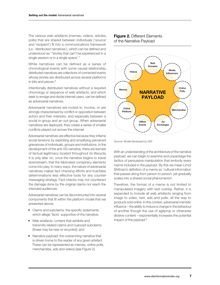The various web artefacts (memes, videos, articles, polls) that are shared between individuals ('source' and 'recipient') fit into a communications framework (i.e. 'distributed narratives'), which can be defned and understood as '"stories that can't be experienced in a single session or in a single space'.<sup>7</sup>

While narratives can be defined as a series of chronological events with some causal relationship, distributed narratives are collections of connected events whose stories are distributed across several platforms in bits and pieces.<sup>8</sup>

Intentionally distributed narratives without a required chronology or sequence of web artefacts, and which seek to enrage and divide internet users, can be defined as adversarial narratives.

Adversarial narratives are rooted in, involve, or are strongly characterised by confict or opposition between actors and their interests, and especially between a social in-group and an out-group. When adversarial narratives are deployed, they create a series of smaller conficts played out across the internet.

Adversarial narratives are effective because they infame social tensions by exploiting and amplifying perceived grievances of individuals, groups and institutions. In the development of the anti-5G narrative, there are kernels of factual legitimacy located throughout its lifecycle. It is only later on, once the narrative begins to travel downstream, that the fabricated conspiracy elements come into play. In many ways, the nature of adversarial narratives makes fact-checking efforts and true/false determinations less effective tools for any countermessaging strategy. Fact-checks may not counteract the damage done by the original claims nor reach the intended audiences.

Adversarial narratives can be deconstructed into several components that fit within the platform model that we presented above:

- Claims and subclaims: the specifc statements which allege 'facts' supportive of the narrative;
- Web artefacts: content that exhibits and transmits related claims and nuanced subclaims (these may be new or recycled); and
- Narrative payload: the overarching narrative that is driven home to the reader of any given artefact. These can be represented as memes, online polls, merchandise, ads and videos (see Figure 2).





*Source: Model developed by GDI*

With an understanding of the architecture of the narrative payload, we can begin to examine and unpackage the tactics of persuasive manipulation that embody every meme included in the payload. By this we mean Limor Shifman's defnition of a meme as 'cultural information that passes along from person to person, yet gradually scales into a shared social phenomenon'.

Therefore, the format of a meme is not limited to manipulated imagery with text overlay. Rather, it is expanded to include all web artefacts ranging from image to video, text, ads and polls, all the way to products sold online. In this context, adversarial memetic infuence – the ability to induce a change in the behaviour of another though the use of agitprop or otherwise divisive content – exponentially increases the potential impact of the payload.<sup>9</sup>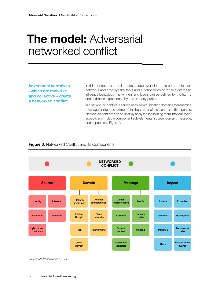# **The model: Adversarial** networked confict

Adversarial narratives – which are mob-like and collective – create a networked confict.

In this context, the confict takes place over electronic communication networks and employs the tools and functionalities of those systems to infuence behaviour. The winners and losers can be defned by the harms and setbacks experienced by one or many parties.

In a networked confict, a source uses communication domains to transmit a message(s) intended to impact the behaviour of recipients and third parties. Networked conficts can be usefully analysed by splitting them into four major aspects and multiple component sub-elements: source, domain, message, and impact (see Figure 3).

### **Figure 3.** Networked Conflict and its Components



*Source: Model developed by GDI*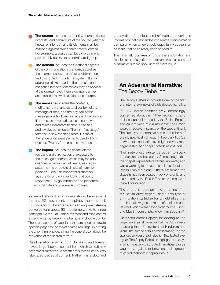The source includes the identity, characteristics, interests, and behaviours of the source (whether known or inferred), and its elements may be mapped against hybrid threat model criteria. For example, a source can be a government, private individual(s), or a coordinated group.

The domain includes the functional aspects of the communications platform, as well as the characteristics of artefacts published on and distributed through that system. It also addresses risks posed to the domain, and mitigating interventions which may be applied at the domain level. Here a domain can be an actual site as well as different platforms.

The message includes the contents, motifs, narrative, and cultural context of the message(s) itself, and the payload of the message which infuences recipient behaviour. It addresses adversarial uses of narrative and related indicators to drive polarising and divisive behaviours. The term 'message' takes on a new meaning since it looks at the range of different elements used – from posts to Tweets, from memes to videos.

The impact includes the effects on the recipient and third parties of exposure to the message contents, which may include changes in behaviour (infuence) as well as actual harms or potential risks of harm to persons. Here, this important distinction lays the groundwork for looking at policy responses – by governments and platforms – to mitigate and prevent such harms.

As we will show later in a case study discussion of the anti-5G movement, conspiracy theorists built up thousands of web artefacts linking mainstream conversations about 5G mobile networks to fringe concepts like the Flat Earth Movement and mind control experiments, by deploying a barrage of Google bombs. These are scores of web links that are used to elevate specific pages to the top of search rankings, exploiting the algorithms and deceiving the general user about the relevance of the search term.10

Disinformation agents, both domestic and foreign, have a large library of content from which to craft new adversarial narratives. In practice this means less overtly fabricated pieces of content. Rather, it is a slow and

steady diet of manipulated half-truths and veritable information that crescendos into a larger disinformation campaign when a news cycle opportunity appears on an issue that has already been seeded.11

This is largely our area of focus: the exploitation and manipulation of algorithms to falsely create a sense that a narrative is more popular than it actually is.

## An Adversarial Narrative: The Sepoy Rebellion

The Sepoy Rebellion provides one of the first pre-internet examples of a distributed narrative.

In 1857, Indian colonies grew increasingly concerned about the military, economic, and political control imposed by the British Empire and caught wind of a rumour that the British would impose Christianity on the subcontinent. The first layered narrative came in the form of bread, specifically chapati. In February 1857, a network of clandestine overnight delivery men began distributing chapati breads across India.12

Their networked existence began to spark rumours across the country. Some thought that the chapati represented a Christian wafer, and was a warning to the people of India about the British Empire's plans. Others presumed the chapatis had been coated in pork or cow fat and distributed by the British Empire as a means of forced conversion.<sup>13</sup>

The chapatis took on new meaning after the British Army began using a new type of ammunition cartridge for Enfeld rifes that required tallow grease, made of beef and pork fat – but which were never given to local Hindu and Muslim conscripts, known as Sepoys.14

Historians credit Sepoys for adding to the larger adversarial narrative that the British were attacking the belief systems of Hinduism and Islam. The spread of this rumour among Sepoys sparked a widespread rebellion that lasted over a year. The Sepoy Rebellion highlights the ways in which spatially distributed narratives can be waged by, against, or between social groups of varied technomic capabilities.15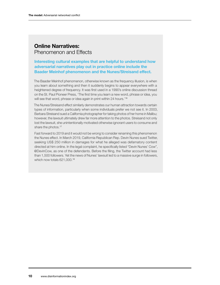## Online Narratives: Phenomenon and Effects

Interesting cultural examples that are helpful to understand how adversarial narratives play out in practice online include the Baader Meinhof phenomenon and the Nunes/Streisand effect.

The Baader Meinhof phenomenon, otherwise known as the frequency illusion, is when you learn about something and then it suddenly begins to appear everywhere with a heightened degree of frequency. It was frst used in a 1990's online discussion thread on the St. Paul Pioneer Press, 'The first time you learn a new word, phrase or idea, you will see that word, phrase or idea again in print within 24 hours.<sup>'16</sup>

The Nunes/Streisand effect similarly demonstrates our human attraction towards certain types of information, particularly when some individuals prefer we not see it. In 2003, Barbara Streisand sued a California photographer for taking photos of her home in Malibu; however, the lawsuit ultimately drew far more attention to the photos. Streisand not only lost the lawsuit, she unintentionally motivated otherwise ignorant users to consume and share the photos.<sup>17</sup>

Fast forward to 2019 and it would not be wrong to consider renaming this phenomenon the Nunes effect. In March 2019, California Republican Rep. Devin Nunes sued Twitter, seeking US\$ 250 million in damages for what he alleged was defamatory content directed at him online. In the legal complaint, he specifcally listed "Devin Nunes' Cow", @DevinCow, as one of the defendants. Before the fling, the Twitter account had less than 1,500 followers. Yet the news of Nunes' lawsuit led to a massive surge in followers, which now totals 621,000.<sup>18</sup>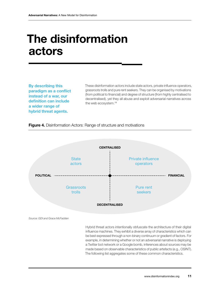# The disinformation actors

By describing this paradigm as a confict instead of a war, our definition can include a wider range of hybrid threat agents.

These disinformation actors include state actors, private infuence operators, grassroots trolls and pure rent seekers. They can be organised by motivations (from political to fnancial) and degree of structure (from highly centralised to decentralised), yet they all abuse and exploit adversarial narratives across the web ecosystem.19

### **Figure 4.** Disinformation Actors: Range of structure and motivations



*Source: GDI and Grace McFadden*

Hybrid threat actors intentionally obfuscate the architecture of their digital infuence machines. They exhibit a diverse array of characteristics which can be best expressed through a non-binary continuum or gradient of factors. For example, in determining whether or not an adversarial narrative is deploying a Twitter bot network or a Google bomb, inferences about sources may be made based on observable characteristics of public artefacts (e.g., OSINT). The following list aggregates some of these common characteristics.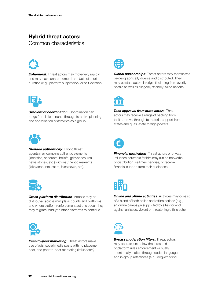## Hybrid threat actors:

Common characteristics



**Ephemeral:** Threat actors may move very rapidly, and may leave only ephemeral artefacts of short duration (e.g., platform suspension, or self-deletion).



*Gradient of coordination*: Coordination can range from little to none, through to active planning and coordination of activities as a group.



**Blended authenticity: Hybrid threat** agents may combine authentic elements (identities, accounts, beliefs, grievances, real news stories, etc.) with inauthentic elements (fake accounts, satire, false news, etc).



*Cross-platform distribution*: Attacks may be distributed across multiple accounts and platforms, and where platform enforcement actions occur, they may migrate readily to other platforms to continue.



**Peer-to-peer marketing:** Threat actors make use of ads, social media posts with no placement cost, and peer-to-peer marketing (infuencers).



*Global partnerships*: Threat actors may themselves be geographically diverse and distributed. They may be state actors in origin (including from overtly hostile as well as allegedly 'friendly' allied nations).



*Tacit approval from state actors*: Threat actors may receive a range of backing from tacit approval through to material support from states and quasi-state foreign powers.



*Financial motivation: Threat actors or private* infuence networks for hire may run ad networks of distribution, sell merchandise, or receive fnancial support from their audiences.



**Online and offline activities: Activities may consist** of a blend of both online and offine actions (e.g., an online campaign supported by allies for and against an issue; violent or threatening offine acts).



*Bypass moderation* f*lters*: Threat actors may operate just below the threshold of platform rules enforcement – usually intentionally – often through coded language and in-group references (e.g., dog-whistling).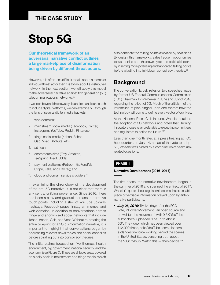## THE CASE STUDY

# Stop 5G

Our theoretical framework of an adversarial narrative confict outlines a large marketplace of disinformation being driven by different threat actors.

However, it is often less difficult to talk about a meme or individual threat actor than it is to talk about a distributed network. In the next section, we will apply this model to the adversarial narrative against ffth generation (5G) telecommunications networks.20

If we look beyond the news cycle and expand our search to include digital platforms, we can examine 5G through the lens of several digital media buckets:

- 1. web domains;
- 2. mainstream social media (Facebook, Twitter, Instagram, YouTube, Reddit, Pinterest);
- 3. fringe social media (4chan, 8chan, Gab, Voat, Bitchute, etc);
- 4. ad-tech;
- 5. ecommerce sites (Etsy, Amazon, TeeSpring, RedBubble);
- 6. payment platforms (Patreon, GoFundMe, Stripe, Zelle, and PayPal); and
- 7. cloud and domain service providers.<sup>21</sup>

In examining the chronology of the development of the anti-5G narrative, it is not clear that there is any central unifying provenance. Since 2016, there has been a slow and gradual increase in narrative touch points, including a slew of YouTube uploads, hashtags, Facebook pages, Instagram memes, and web domains, in addition to conversations across fringe and anonymised social networks that include 4chan, 8chan, Gab, and Voat. Without re-creating the entire blueprint for a 5G disinformation narrative, it is important to highlight that conversations began by addressing relevant news topics and social concerns before spiralling out into conspiracy theories.

The initial claims focused on five themes: health, environment, big government, national security, and the economy (see Figure 5). These are all topic areas covered on a daily basis in mainstream and fringe media, which

also dominate the talking points amplifed by politicians. By design, this framework creates frequent opportunities to weaponise both the news cycle and political rhetoric by inserting more polarising and fabricated talking points before pivoting into full-blown conspiracy theories.<sup>22</sup>

## **Background**

The conversation largely relies on two speeches made by former US Federal Communications Commission (FCC) Chairman Tom Wheeler in June and July of 2016 regarding the rollout of 5G. Much of the criticism of the infrastructure plan hinged upon one theme: how the technology will come to defne every vector of our lives.

At the National Press Club in June, Wheeler heralded the adoption of 5G networks and noted that 'Turning innovators loose is far preferable to expecting committees and regulators to define the future.<sup>'23</sup>

Less than one month later, at a press hearing at FCC headquarters on July 14, ahead of the vote to adopt 5G, Wheeler was blitzed by a combination of health riskrelated questions.

### PHASE 1

### Narrative Development (2016–2017)

The first phase, the narrative development, began in the summer of 2016 and spanned the entirety of 2017. Wheeler's quote about regulation became the exploitable piece of verifable information preyed upon by anti-5G narrative participants.

• *July 26, 2016:* Twelve days after the FCC vote, InPower Movement, 'an open source and crowd-funded movement' with 9.3K YouTube subscribers, uploaded 'The Truth About 5G'. The video, which has been viewed over 112,000 times, asks YouTube users, 'Is there a clandestine force working behind the scenes in the United States, censoring truth about the "5G" rollout? Watch this — then decide.'24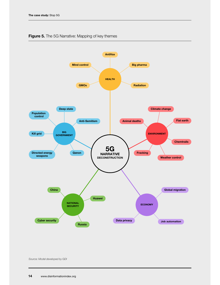

### Figure 5. The 5G Narrative: Mapping of key themes

*Source: Model developed by GDI*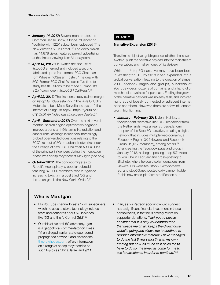- *January 14, 2017:* Several months later, the Common Sense Show, a fringe infuencer on YouTube with 122K subscribers, uploaded 'The New Wireless 5G is Lethal.'25 The video, which has 44,878 views, featured pre-roll advertising at the time of viewing from Monday.com.
- **April 14, 2017:** On Twitter, the first use of #stop5G emerged and included a second fabricated quote from former FCC Chairman Tom Wheeler, '@Susan\_Foster: "The deal with 5G? Former FCC Chair Wheeler: 'No time to study health. Billions to be made.' C'mon. It's a 2b #carcinogen. #stop5G #CallReps".<sup>26</sup>
- **April 22, 2017:** The first conspiracy claim emerged on #stop5G, '@purestar777, "The Role Of Utility Meters Is to be a Mass Surveillance system" the Internet of Things' #Stop5G https://youtu.be/ o7j1Qs01kjA *(video has since been deleted)*. 27
- *April September 2017:* Over the next several months, search engine optimisation began to improve around anti-5G terms like radiation and cancer links, as fringe infuencers increasingly probed open-ended questions relating to the FCC's roll-out of 5G broadband networks under the tutelage of new FCC Chairman Ajit Pai. One of the principal infuencers during the incubation phase was conspiracy theorist Max Igan (see box).
- *October 2017:* The concept migrates to Reddit's r/conspiracy, a popular subreddit featuring 870,000 members, where it gained increasing toxicity in a post titled "5G and the smart grid is the New World Order".<sup>28</sup>

### PHASE 2

#### Narrative Expansion (2018)

The ultimate objectives guiding success in this phase were twofold: push the narrative payload into the mainstream conversation, and make money off its delivery.

While the #stop5G narrative may have been born in Washington DC, by 2018 it had expanded into a global conversation, leading to the creation of almost 200 Facebook pages and groups, hundreds of YouTube videos, dozens of domains, and a handful of merchandise available for purchase. Fuelling the growth of the narrative payload was no easy task, and involved hundreds of loosely connected or adjacent internet echo chambers. However, there are a few infuencers worth highlighting.

• *January – February 2018:* John Kuhles, an 'independent "detective like" UFO researcher from the Netherlands, was an early cross-platform adopter of the Stop 5G narrative, creating a digital network that includes multiple web domains, a Facebook Page (13K followers) and Facebook Group (19,617 members), among others.<sup>31</sup> After creating the Facebook page and group in January 2018, he began posting 'stop 5G' videos to YouTube in February and cross-posting to Bitchute, where he could solicit donations from viewers. His websites, stop5G.whynotnews. eu, and stop5G.net, posted daily cannon fodder for his new cross-platform amplification hub.

## Who is Max Igan

- His YouTube channel boasts 177K subscribers, which he uses to stoke technology-related fears and concerns about 5G in videos like '5G and the AI Control Grid'.<sup>29</sup>
- Outside of his anti-5G advocacy, Igan is a geopolitical commentator on Press TV, an alleged Iranian state-sponsored propaganda network, and his website, thecrowhouse.com, offers information on a range of conspiracy theories on such topics as China, Israel and 9/11.
- Igan, as his Patreon account would suggest, has a significant financial investment in these conspiracies, in that he is entirely reliant on supporter donations. *'I ask you to please consider that it is only your contribution that keeps me on air, keeps the Crowhouse website going and allows me to continue to produce informative material. I have managed to do the last 8 years mostly with my own funding but now, as much as it pains me to have to do so, the time has come for me to ask for assistance in order to continue.'* <sup>30</sup>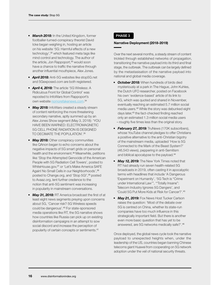- *March 2018:* In the United Kingdom, former footballer-turned-conspiracy theorist David Icke began weighing in, hosting an article on his website '5G: Harmful effects of a new technology',<sup>32</sup> which featured meta tags like mind control and technology. The author of the article, Jon Rappoport,<sup>33</sup> would soon have a chance to traffic the narrative through another infuential mouthpiece, Alex Jones.
- *April 2018:* Anti-5G websites like stop5G.net and 5Gexposed.com are both registered.
- *April 4, 2018:* The article '5G Wireless: A Ridiculous Front for Global Control' was reposted to InfoWars from Rappoport's own website **nomorefakenews.com**.<sup>34</sup>
- *May 2018:* InfoWars created a steady stream of content reinforcing the more threatening secondary narrative, aptly summed up by an Alex Jones Show segment (May 3, 2018): 'YOU HAVE BEEN WARNED: ELECTROMAGNETIC 5G CELL PHONE RADIATION IS DESIGNED TO DECIMATE THE POPULATION'.35
- *May 2018:* Other conspiracy communities like QAnon began to echo concerns about the negative impacts of 5G smart grids on personal health and the environment.<sup>36</sup> Meanwhile, petitions like 'Stop the Attempted Genocide of the American People with 5G Radiation Cell Towers', posted to WhiteHouse.gov,37 or 'Let's Make America SAFE Again! No Small Cells in our Neighborhoods', 38 posted to Change.org, and 'Stop 5G!',<sup>39</sup> posted to Avaaz.org, lent further credence to the notion that anti-5G sentiment was increasing in popularity in mainstream conversations.
- *May 31, 2018:* RT America broadcast the first of at least eight news segments preying upon concerns about 5G, 'Cancer risk? 5G Wireless speeds could be dangerous'.40 For state-sponsored media operations like RT, the 5G narrative shows how countries like Russia can pick up on existing disinformation campaigns in an attempt to sow social discord and increase the perception of popularity of certain concepts or sentiments.41

### PHASE 3

### Narrative Deployment (2018-2019)

Over the next several months, a steady stream of content trickled through established networks of propagation, transitioning the narrative payload into its third and final stage, the outbreak. The outbreak can be largely defined by the metastasisation of the narrative payload into national and global media coverage.

- *October 2018:* When hundreds of birds died mysteriously at a park in The Hague, John Kuhles, the Dutch UFO researcher, posted on Facebook his own 'evidence-based' article of its link to 5G, which was quoted and shared in November, eventually reaching an estimated 5.7 million social media users.42 While the story was debunked eight days later,<sup>43</sup> the fact-checked finding reached only an estimated 1.3 million social media users – roughly fve times less than the original story.
- *February 27, 2019:* TruNews (170K subscribers), whose YouTube channel pledges to offer Christians a positive alternative to the anti-Christian bigotry of the mainstream media, uploaded 'How is 5G Connected to the Mark of the Beast System?' (46,543 views), peppering in anti-Semitism and biblical apocalypse to the payload.44
- *May 12, 2019:* The New York Times noted that RT had already run seven health-related 5G broadcasts in 2019, often casting it in apocalyptic terms with headlines that include 'A Dangerous 'Experiment on Humanity', '5G Tech is "Crime under International Law'", '"Totally Insane": Telecom Industry Ignores 5G Dangers', and 'Could 5G Put More Kids at Risk for Cancer?'.45
- *May 21, 2019:* Fox News Host Tucker Carlson raises the question: 'Most of the debate over 5G is centred on China, whether its state-run companies have too much infuence in this strategically important field. But there is another even more basic question that has yet to be answered, are 5G networks medically safe?'.46

Once deployed, the global news cycle took the narrative payload to unexpected heights when, under the leadership of the US, countries began banning Chinese telecoms giant Huawei from cooperating on 5G network adoption under the veil of national security threats.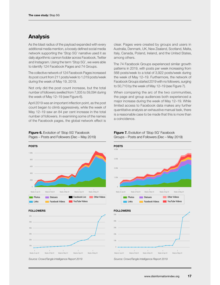## Analysis

As the blast radius of the payload expanded with every additional media mention, a loosely defned social media network supporting the 'Stop 5G' narrative used it as daily algorithmic cannon fodder across Facebook, Twitter and Instagram. Using the term 'Stop 5G', we were able to identify 124 Facebook Pages and 74 Groups.

The collective network of 124 Facebook Pages increased its post count from 211 posts/week to 1,019 posts/week during the week of May 19, 2019.

Not only did the post count increase, but the total number of followers swelled from 7,005 to 59,094 during the week of May 12–19 (see Figure 6).

April 2019 was an important infection point, as the post count began to climb aggressively, while the week of May 12–19 saw an 84 per cent increase in the total number of followers. In examining some of the names of the Facebook pages, the global network effect is

Figure 6. Evolution of 'Stop 5G' Facebook Pages – Posts and Followers (Dec – May 2019) clear. Pages were created by groups and users in Australia, Denmark, UK, New Zealand, Scotland, Malta, Italy, Canada, Poland, Ireland, and the United States, among others.

The 74 Facebook Groups experienced similar growth patterns in 2019, with posts per week increasing from 568 posts/week to a total of 3,922 posts/week during the week of May 12–19. Furthermore, the network of Facebook Groups started 2019 with no followers, surging to 50,710 by the week of May 12–19 (see Figure 7).

When comparing the arc of the two communities, the page and group audiences both experienced a major increase during the week of May 12–19. While limited access to Facebook data makes any further quantitative analysis an exhaustive manual task, there is a reasonable case to be made that this is more than a coincidence.



#### FOLLOWERS













*Source: CrowdTangle Intelligence Report 2019*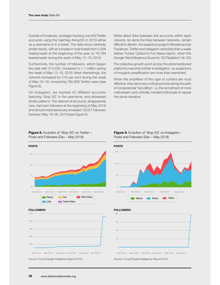Outside of Facebook, we began tracking over 600 Twitter accounts using the hashtag #stop5G in 2019 either as a username or in a tweet. The data show markedly similar trends, with an increase in total tweets from 5,058 tweets/week at the beginning of the year, to 16,794 tweets/week during the week of May 12–19, 2019.

Furthermore, the number of followers, which began the year with 314,033, increased to 1.1 million during the week of May 12–19, 2019. Most interestingly, the network increased by 215 per cent during the week of May 12–19, comprising 765,900 Twitter users (see Figure 8).

On Instagram, we tracked 43 different accounts featuring 'Stop 5G' in the username, and witnessed similar patterns. The network of accounts, all apparently new, had zero followers at the beginning of May 2019, and almost instantaneously amassed 19,027 followers between May 19–26, 2019 (see Figure 9).

While direct links between the accounts within each network, let alone the links between networks, remain difficult to discern, the suspicious surge in followers across Facebook, Twitter and Instagram came less than a week before Tucker Carlson's Fox News report, when the Google Trend Breakout Score for '5G Radiation' hit 100.

The collective growth point across the aforementioned platforms warrants further investigation, as suspicions of inorganic amplification are more than warranted.

When the amplifiers of this type of content are most effective, they serve as a critical juncture along the path of conspiratorial "red-pilling", i.e. the recruitment of more mainstream and critically-minded individuals to repeat the same narrative.



Figure 8. Evolution of 'Stop 5G' on Twitter -Posts and Followers (Dec – May 2019)









week of Jan 01 Week of Feb 01 Week of Mar 01 Week of Apr 01 Week of May 01

**Albums Photos Videos** 

### Figure 9. Evolution of 'Stop 5G' on Instagram -Posts and Followers (Dec – May 2019)

#### FOLLOWERS

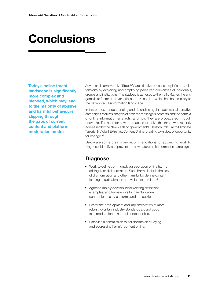# **Conclusions**

Today's online threat landscape is significantly more complex and blended, which may lead to the majority of abusive and harmful behaviours slipping through the gaps of current content and platform moderation models.

Adversarial narratives like 'Stop 5G' are effective because they infame social tensions by exploiting and amplifying perceived grievances of individuals, groups and institutions. The payload is agnostic to the truth. Rather, the end game is to foster an adversarial narrative confict, which has become key to the networked disinformation landscape.

In this context, understanding and defending against adversarial narrative campaigns requires analysis of both the message's contents and the context of online information artefacts, and how they are propagated through networks. The need for new approaches to tackle this threat was recently addressed by the New Zealand government's Christchurch Call to Eliminate Terrorist & Violent Extremist Content Online, creating a window of opportunity for change.<sup>47</sup>

Below are some preliminary recommendations for advancing work to diagnose, identify and prevent the new nature of disinformation campaigns:

## **Diagnose**

- Work to defne communally agreed-upon online harms arising from disinformation. Such harms include the rise of disinformation and other harmful borderline content leading to radicalisation and violent extremism.<sup>48</sup>
- Agree to rapidly develop initial working definitions, examples, and frameworks for harmful online content for use by platforms and the public.
- Foster the development and implementation of more robust voluntary industry standards around good faith moderation of harmful content online.
- Establish a commission to collaborate on studying and addressing harmful content online.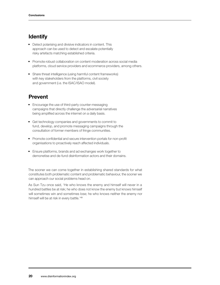## **Identify**

- Detect polarising and divisive indicators in content. This approach can be used to detect and escalate potentially risky artefacts matching established criteria.
- Promote robust collaboration on content moderation across social media platforms, cloud service providers and ecommerce providers, among others.
- Share threat intelligence (using harmful content frameworks) with key stakeholders from the platforms, civil society and government (i.e. the ISAC/ISAO model).

## Prevent

- Encourage the use of third-party counter-messaging campaigns that directly challenge the adversarial narratives being amplifed across the internet on a daily basis.
- Get technology companies and governments to commit to fund, develop, and promote messaging campaigns through the consultation of former members of fringe communities.
- Promote confidential and secure intervention portals for non-profit organisations to proactively reach affected individuals.
- Ensure platforms, brands and ad exchanges work together to demonetise and de-fund disinformation actors and their domains.

The sooner we can come together in establishing shared standards for what constitutes both problematic content and problematic behaviour, the sooner we can approach our social problems head on.

As Sun Tzu once said, 'He who knows the enemy and himself will never in a hundred battles be at risk; he who does not know the enemy but knows himself will sometimes win and sometimes lose; he who knows neither the enemy nor himself will be at risk in every battle.'49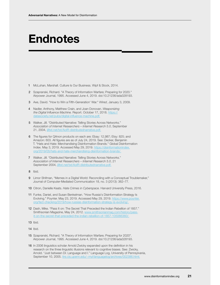# Endnotes

- 1 McLuhan, Marshall. Culture Is Our Business. Wipf & Stock, 2014.
- 2 Szapranski, Richard. "A Theory of Information Warfare; Preparing for 2020." Airpower Journal, 1995. Accessed June 4, 2019. doi:10.21236/ada328193.
- 3 Axe, David. "How to Win a Fifth-Generation' War." *Wired*, January 3, 2009.
- 4 Nadler, Anthony, Matthew Crain, and Joan Donovan. *Weaponizing the Digital In*f*uence Machine.* Report. October 17, 2018. https:// datasociety.net/pubs/digital-infuence-machine.pdf.
- 5 Walker, Jill. "Distributed Narrative: Telling Stories Across Networks." *Association of Internet Researchers – Internet Research 5.0*, September 21, 2004, jilltxt.net/txt/AoIR-distributednarrative.pdf.
- 6 The fgures for QAnon products on each are: Ebay: 12,987; Etsy: 825; and Amazon: 603. All fgures are as of July 24, 2019. See: Decker, Benjamin T. "Hats and Hate: Merchandising Disinformation Brands." Global Disinformation Index. May 3, 2019. Accessed May 29, 2019. https://disinformationindex. org/2019/05/hats-and-hate-merchandising-disinformation-brands/.
- 7 Walker, Jill. "Distributed Narrative: Telling Stories Across Networks." *Association of Internet Researchers – Internet Research 5.0*, 21 September 2004, jilltxt.net/txt/AoIR-distributednarrative.pdf.
- 8 Ibid.
- 9 Limor Shifman, "Memes in a Digital World: Reconciling with a Conceptual Troublemaker," Journal of Computer-Mediated Communication 18, no. 3 (2013): 362–77.
- 10 Citron, Danielle Keats. *Hate Crimes in Cyberspace.* Harvard University Press, 2016.
- 11 Funke, Daniel, and Susan Benkelman. "How Russia's Disinformation Strategy Is Evolving." Poynter. May 23, 2019. Accessed May 29, 2019. https://www.poynter. org/fact-checking/2019/how-russias-disinformation-strategy-is-evolving/.
- 12 Dash, Mike. "Pass It on: The Secret That Preceded the Indian Rebellion of 1857." Smithsonian Magazine, May 24, 2012. www.smithsonianmag.com/history/passit-on-the-secret-that-preceded-the-indian-rebellion-of-1857-105066360/.
- 13 Ibid.
- 14 Ibid.
- 15 Szapranski, Richard. "A Theory of Information Warfare; Preparing for 2020". Airpower Journal, 1995. Accessed June 4, 2019. doi:10.21236/ada328193.
- 16 In 2006 linguistics scholar Arnold Zwicky expanded upon the definition in his research on the three linguistic illusions relevant to cognitive biases. See: Zwicky, Arnold. "Just between Dr. Language and I." Language Log, University of Pennsylvania, September 10, 2005. itre.cis.upenn.edu/~myl/languagelog/archives/002386.html.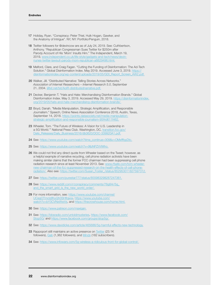- 17 Holiday, Ryan. "Conspiracy: Peter Thiel, Hulk Hogan, Gawker, and the Anatomy of Intrigue". NY, NY: Portfolio/Penguin, 2018.
- 18 Twitter followers for @devincow are as of July 24, 2019. See: Cuthbertson, Anthony. "Republican Congressman Sues Twitter for \$250m after Parody Account of His 'Mom' Insults Him." The Independent, March 19, 2019, www.independent.co.uk/life-style/gadgets-and-tech/news/devinnunes-twitter-lawsuit-parody-mom-republican-a8829496.html.
- 19 Melford, Clare, and Craig Fagan. "Cutting the Funding of Disinformation: The Ad-Tech Solution." Global Disinformation Index. May 2019. Accessed June 3, 2019. https:// disinformationindex.org/wp-content/uploads/2019/05/GDI\_Report\_Screen\_AW2.pdf.
- 20 Walker, Jill. "Distributed Narrative: Telling Stories Across Networks." *Association of Internet Researchers – Internet Research 5.0*, September 21, 2004. jilltxt.net/txt/AoIR-distributednarrative.pdf.
- 21 Decker, Benjamin T. "Hats and Hate: Merchandising Disinformation Brands." Global Disinformation Index. May 3, 2019. Accessed May 29, 2019. https://disinformationindex. org/2019/05/hats-and-hate-merchandising-disinformation-brands/.
- 22 Boyd, Danah. "Media Manipulation, Strategic Amplification, and Responsible Journalism." Speech, Online News Association Conference 2018, Austin, Texas, September 14, 2018. https://points.datasociety.net/media-manipulationstrategic-amplifcation-and-responsible-journalism-95f4d611f462.
- 23 Wheeler, Tom. "The Future of Wireless: A Vision for U.S. Leadership in a 5G World.'" National Press Club. Washington, DC, transition.fcc.gov/ Daily\_Releases/Daily\_Business/2016/db0620/DOC-339920A1.pdf.
- 24 See: https://www.youtube.com/watch?time\_continue=309&v=OMxfffqyDtc.
- 25 See: https://www.youtube.com/watch?v=9fpNPZVVMho.
- 26 We could not fnd any direct quote from Wheeler based on the Tweet; however, as a helpful example of narrative recycling, cell phone radiation activists have been making similar claims that the former FCC chairman had been suppressing cell phone radiation research since at least November 2013. See: www.rfsafe.com/tom-wheelernew-chairman-of-the-fcc-suppressed-research-on-the-health-effects-of-cell-phoneradiation/. Also see: https://twitter.com/Susan\_Foster\_/status/852953011827597312.
- 27 See: https://twitter.com/purestar777/status/855983298287247361.
- 28 See: https://www.reddit.com/r/conspiracy/comments/76g84r/5g\_ and\_the\_smart\_grid\_is\_the\_new\_world\_order/.
- 29 For more information, see: https://www.youtube.com/channel/ UCegOTmclzjfKuQh0SHflqww, https://www.youtube.com/ watch?v=bY3CVNxWwVs, and https://thecrowhouse.com/home.html.
- 30 See: https://www.patreon.com/maxigan.
- 31 See: https://bbsradio.com/untoldmysteries, https://www.facebook.com/ Stop5G/ and https://www.facebook.com/groups/stop5g/.
- 32 See: https://www.davidicke.com/article/465686/5g-harmful-effects-new-technology.
- 33 Rappoport still maintains an active presence on **Twitter** (23.1K) followers), Gab (1,362 followers), and Minds (182 subscribers).
- 34 See: https://www.infowars.com/5g-wireless-a-ridiculous-front-for-global-control/.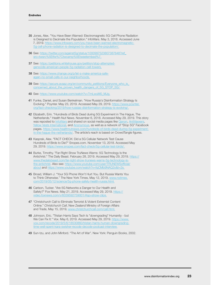- 35 Jones, Alex. "You Have Been Warned: Electromagnetic 5G Cell Phone Radiation is Designed to Decimate the Population." InfoWars. May 3, 2018. Accessed June 7, 2019. https://www.infowars.com/you-have-been-warned-electromagnetic-5g-cell-phone-radiation-is-designed-to-decimate-the-population/.
- 36 See: https://twitter.com/against5g/status/1000997523807387648?ref\_ src=twsrc%5Etfw%7Ctwcamp%5Etweetembed%7.
- 37 See: https://petitions.whitehouse.gov/petition/stop-attemptedgenocide-american-people-5g-radiation-cell-towers.
- 38 See: https://www.change.org/p/let-s-make-america-safeagain-no-small-cells-in-our-neighborhoods.
- 39 See: https://secure.avaaz.org/en/community\_petitions/Everyone\_who\_is\_ concerned\_about\_the\_proven\_health\_dangers\_of\_5G\_STOP\_5G/.
- 40 See: https://www.youtube.com/watch?v=TmLwuM0\_MJg.
- 41 Funke, Daniel, and Susan Benkelman. "How Russia's Disinformation Strategy Is Evolving." Poynter. May 23, 2019. Accessed May 29, 2019. https://www.poynter. org/fact-checking/2019/how-russias-disinformation-strategy-is-evolving/.
- 42 Elizabeth, Erin. "Hundreds of Birds Dead during 5G Experiment in The Hague, The Netherlands." Health Nut News. November 6, 2018. Accessed May 29, 2019. This story was reposted to InfoWars and shared on social media pages like Qanon, AntiVaxxers, Yellow Vests International, and Anonymous, as well as a network of "Stop 5G" Facebook pages. https://www.healthnutnews.com/hundreds-of-birds-dead-during-5g-experimentin-the-hague-the-netherlands/. The article's reach is based on CrowdTangle figures.
- 43 Kasprak, Alex. "FACT CHECK: Did a 5G Cellular Network Test Cause Hundreds of Birds to Die?" Snopes.com. November 13, 2018. Accessed May 29, 2019. https://www.snopes.com/fact-check/5g-cellular-test-birds/.
- 44 Burke, Timothy. "Far-Right Show TruNews Warns: 5G Technology Is the Antichrist." The Daily Beast. February 28, 2019. Accessed May 29, 2019. https:// www.thedailybeast.com/far-right-show-trunews-warns-5g-technology-isthe-antichrist. Also see: https://www.youtube.com/user/TRUNEWSofficial/ about and https://www.youtube.com/watch?v=fqCMb9NAQ2o&t=2s.
- 45 Broad, William J. "Your 5G Phone Won't Hurt You. But Russia Wants You to Think Otherwise." The New York Times, May 12, 2019, www.nytimes. com/2019/05/12/science/5g-phone-safety-health-russia.html.
- 46 Carlson, Tucker. "Are 5G Networks a Danger to Our Health and Safety?" Fox News. May 21, 2019. Accessed May 29, 2019. https:// video.foxnews.com/v/6039592759001/#sp=show-clips.
- 47 "Christchurch Call to Eliminate Terrorist & Violent Extremist Content Online." *Christchurch Call*, New Zealand Ministry of Foreign Affairs and Trade, May 15, 2019, www.christchurchcall.com/call.html.
- 48 Johnson, Eric. "Tristan Harris Says Tech Is "downgrading" Humanity but We Can Fix It." Vox. May 6, 2019. Accessed May 29, 2019. https://www. vox.com/recode/2019/5/6/18530860/tristan-harris-human-downgradingtime-well-spent-kara-swisher-recode-decode-podcast-interview.
- 49 Sun-tzu, and John Minford. "The Art of War". New York: Penguin Books, 2002.